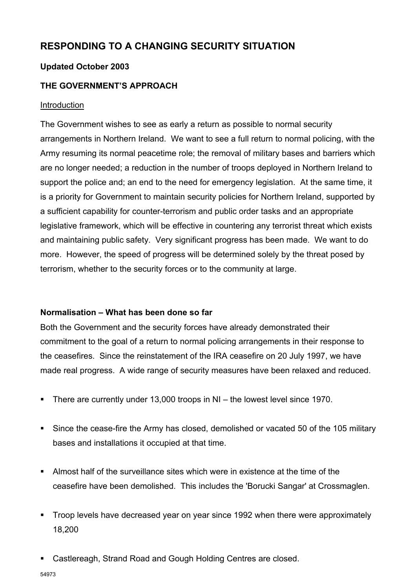# **RESPONDING TO A CHANGING SECURITY SITUATION**

# **Updated October 2003**

# **THE GOVERNMENT'S APPROACH**

#### Introduction

The Government wishes to see as early a return as possible to normal security arrangements in Northern Ireland. We want to see a full return to normal policing, with the Army resuming its normal peacetime role; the removal of military bases and barriers which are no longer needed; a reduction in the number of troops deployed in Northern Ireland to support the police and; an end to the need for emergency legislation. At the same time, it is a priority for Government to maintain security policies for Northern Ireland, supported by a sufficient capability for counter-terrorism and public order tasks and an appropriate legislative framework, which will be effective in countering any terrorist threat which exists and maintaining public safety. Very significant progress has been made. We want to do more. However, the speed of progress will be determined solely by the threat posed by terrorism, whether to the security forces or to the community at large.

# **Normalisation – What has been done so far**

Both the Government and the security forces have already demonstrated their commitment to the goal of a return to normal policing arrangements in their response to the ceasefires. Since the reinstatement of the IRA ceasefire on 20 July 1997, we have made real progress. A wide range of security measures have been relaxed and reduced.

- There are currently under 13,000 troops in NI the lowest level since 1970.
- Since the cease-fire the Army has closed, demolished or vacated 50 of the 105 military bases and installations it occupied at that time.
- Almost half of the surveillance sites which were in existence at the time of the ceasefire have been demolished. This includes the 'Borucki Sangar' at Crossmaglen.
- Troop levels have decreased year on year since 1992 when there were approximately 18,200
- Castlereagh, Strand Road and Gough Holding Centres are closed.

54973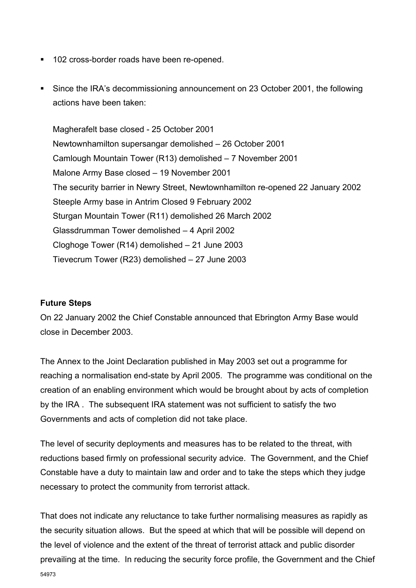- 102 cross-border roads have been re-opened.
- Since the IRA's decommissioning announcement on 23 October 2001, the following actions have been taken:

Magherafelt base closed - 25 October 2001 Newtownhamilton supersangar demolished – 26 October 2001 Camlough Mountain Tower (R13) demolished – 7 November 2001 Malone Army Base closed – 19 November 2001 The security barrier in Newry Street, Newtownhamilton re-opened 22 January 2002 Steeple Army base in Antrim Closed 9 February 2002 Sturgan Mountain Tower (R11) demolished 26 March 2002 Glassdrumman Tower demolished – 4 April 2002 Cloghoge Tower (R14) demolished – 21 June 2003 Tievecrum Tower (R23) demolished – 27 June 2003

#### **Future Steps**

On 22 January 2002 the Chief Constable announced that Ebrington Army Base would close in December 2003.

The Annex to the Joint Declaration published in May 2003 set out a programme for reaching a normalisation end-state by April 2005. The programme was conditional on the creation of an enabling environment which would be brought about by acts of completion by the IRA . The subsequent IRA statement was not sufficient to satisfy the two Governments and acts of completion did not take place.

The level of security deployments and measures has to be related to the threat, with reductions based firmly on professional security advice. The Government, and the Chief Constable have a duty to maintain law and order and to take the steps which they judge necessary to protect the community from terrorist attack.

54973 That does not indicate any reluctance to take further normalising measures as rapidly as the security situation allows. But the speed at which that will be possible will depend on the level of violence and the extent of the threat of terrorist attack and public disorder prevailing at the time. In reducing the security force profile, the Government and the Chief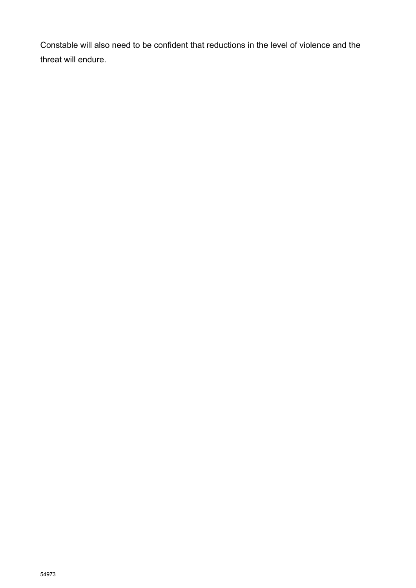Constable will also need to be confident that reductions in the level of violence and the threat will endure.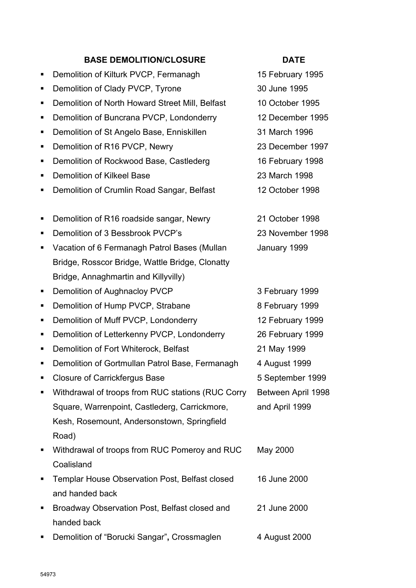### **BASE DEMOLITION/CLOSURE DATE**

- Demolition of Kilturk PVCP, Fermanagh 15 February 1995
- Demolition of Clady PVCP, Tyrone 30 June 1995
- Demolition of North Howard Street Mill, Belfast 10 October 1995
- Demolition of Buncrana PVCP, Londonderry 12 December 1995
- Demolition of St Angelo Base, Enniskillen 31 March 1996
- Demolition of R16 PVCP, Newry 23 December 1997
- Demolition of Rockwood Base, Castlederg 16 February 1998
- Demolition of Kilkeel Base 23 March 1998
- Demolition of Crumlin Road Sangar, Belfast 12 October 1998
- Demolition of R16 roadside sangar, Newry 21 October 1998
- Demolition of 3 Bessbrook PVCP's 23 November 1998
- **Vacation of 6 Fermanagh Patrol Bases (Mullan** Bridge, Rosscor Bridge, Wattle Bridge, Clonatty Bridge, Annaghmartin and Killyvilly)
- Demolition of Aughnacloy PVCP 3 February 1999
- Demolition of Muff PVCP, Londonderry 12 February 1999
- Demolition of Letterkenny PVCP, Londonderry 26 February 1999
- Demolition of Fort Whiterock, Belfast 21 May 1999
- Demolition of Gortmullan Patrol Base, Fermanagh 4 August 1999
- Closure of Carrickfergus Base 5 September 1999
- Withdrawal of troops from RUC stations (RUC Corry Square, Warrenpoint, Castlederg, Carrickmore, Kesh, Rosemount, Andersonstown, Springfield Road)
- Withdrawal of troops from RUC Pomeroy and RUC Coalisland May 2000
- **Templar House Observation Post, Belfast closed** and handed back
- **Broadway Observation Post, Belfast closed and** handed back 21 June 2000
- Demolition of "Borucki Sangar", Crossmaglen 4 August 2000

- 
- 

January 1999

■ Demolition of Hump PVCP, Strabane 8 February 1999 Between April 1998 and April 1999

16 June 2000